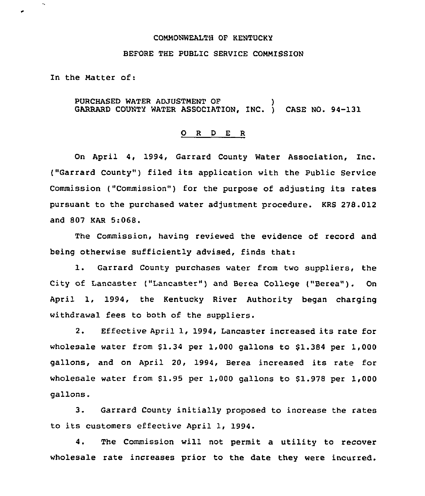#### COMMONWEALTH OF KENTUCKY

#### BEFORE THE PUBLIC SERVICE COMMISSION

In the Matter of:

 $\ddot{\phantom{0}}$ 

PURCHASED WATER ADJUSTMENT OF ) GARRARD COUNTY WATER ASSOCIATION, INC. ) CASE NO. 94-131

### 0 <sup>R</sup> <sup>D</sup> <sup>E</sup> <sup>R</sup>

On April 4, 1994, Garrard County Water Association, Inc. ("Garrard County" ) filed its application with the Public Service Commission ("Commission") for the purpose of adjusting its rates pursuant to the purchased water adjustment procedure. KRS 278.012 and 807 KAR 5:068.

The Commission, having reviewed the evidence of record and being otherwise sufficiently advised, finds that:

l. Garrard County purchases water from two suppliers, the City of Lancaster ("Lancaster" ) and Berea College ("Berea"). On April 1, 1994, the Kentucky River Authority began charging withdrawal fees to both of the suppliers.

2. Effective April 1, 1994, Lancaster increased its rate for wholesale water from  $$1.34$  per 1,000 gallons to  $$1.384$  per 1,000 gallons, and on April 20, 1994, Berea increased its rate for wholesale water from \$1.95 per 1,000 gallons to \$1.978 per  $1,000$ gallons.

3. Garrard County initially proposed to increase the rates to its customers effective April 1, 1994.

4. The Commission will not permit a utility to recover wholesale rate increases prior to the date they were incurred.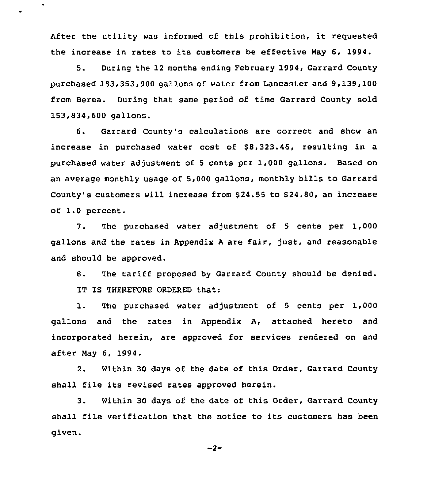After the utility was informed of this prohibition, it requested the increase in rates to its customers be effective Nay 6, 1994.

 $\bullet$ 

 $\bullet$ 

5. During the 12 months ending February 1994, Garrard County purchased 183,353,900 gallons of water from Lancaster and 9,139,100 from Berea. During that same period of time Garrard County sold 153,834,600 gallons.

6. Garrard County's calculations are correct and show an increase in purchased water cost of 88,323.46, resulting in a purchased water adjustment of <sup>5</sup> cents per 1,000 gallons. Based on an average monthly usage of 5,000 gallons, monthly bills to Garrard County's customers will increase from 824.55 to 824.80, an increase of 1.0 percent.

7. The purchased water adjustment of <sup>5</sup> cents per 1,000 gallons and the rates in Appendix A are fair, just, and reasonable and should be approved.

8. The tariff proposed by Garrard County should be denied. IT IS THEREFORE ORDERED that:

1. The purchased water adjustment of <sup>5</sup> cents per 1,000 gallons and the rates in Appendix A, attached hereto and incorporated herein, are approved for services rendered on and after Nay 6, 1994.

2. Within 30 days of the date of this Order, Garrard County shall file its revised rates approved herein.

3. Within 30 days of the date of this Order, Garrard County shall file verification that the notice to its customers has been given.

 $-2-$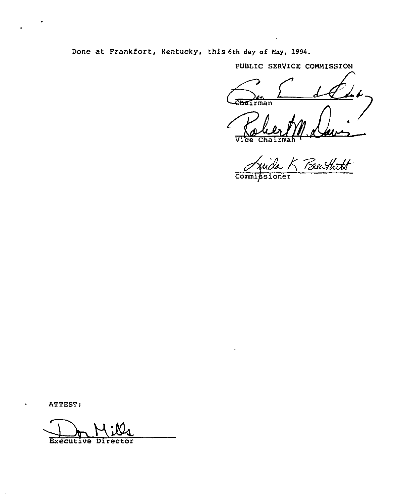Done at Frankfort, Kentucky, this 6th day of May, l994.

PUBLIC SERVICE COMMISSION

ehairman

Vice Chai

Beathtt Commissioner

ATTEST:

ATTEST: Executive Director